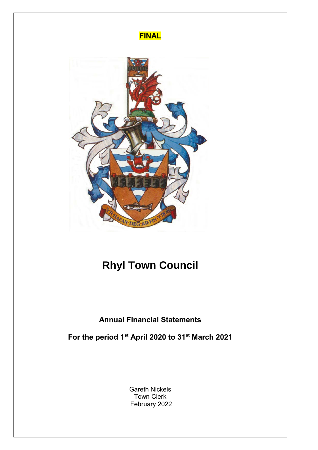

# **Rhyl Town Council**

## **Annual Financial Statements**

**For the period 1st April 2020 to 31st March 2021**

Gareth Nickels Town Clerk February 2022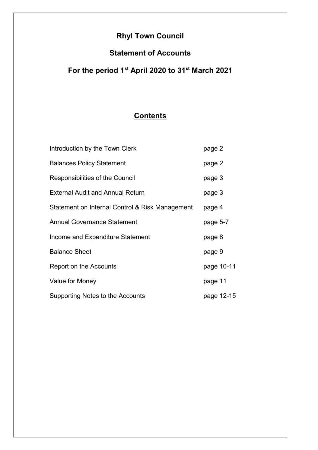## **Rhyl Town Council**

## **Statement of Accounts**

## **For the period 1st April 2020 to 31st March 2021**

## **Contents**

| Introduction by the Town Clerk                  | page 2     |
|-------------------------------------------------|------------|
| <b>Balances Policy Statement</b>                | page 2     |
| Responsibilities of the Council                 | page 3     |
| <b>External Audit and Annual Return</b>         | page 3     |
| Statement on Internal Control & Risk Management | page 4     |
| <b>Annual Governance Statement</b>              | page 5-7   |
| Income and Expenditure Statement                | page 8     |
| <b>Balance Sheet</b>                            | page 9     |
| Report on the Accounts                          | page 10-11 |
| Value for Money                                 | page 11    |
| Supporting Notes to the Accounts                | page 12-15 |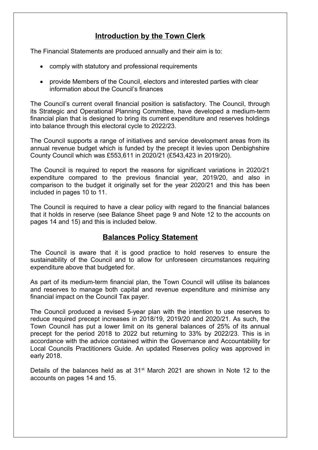## **Introduction by the Town Clerk**

The Financial Statements are produced annually and their aim is to:

- comply with statutory and professional requirements
- provide Members of the Council, electors and interested parties with clear information about the Council's finances

The Council's current overall financial position is satisfactory. The Council, through its Strategic and Operational Planning Committee, have developed a medium-term financial plan that is designed to bring its current expenditure and reserves holdings into balance through this electoral cycle to 2022/23.

The Council supports a range of initiatives and service development areas from its annual revenue budget which is funded by the precept it levies upon Denbighshire County Council which was £553,611 in 2020/21 (£543,423 in 2019/20).

The Council is required to report the reasons for significant variations in 2020/21 expenditure compared to the previous financial year, 2019/20, and also in comparison to the budget it originally set for the year 2020/21 and this has been included in pages 10 to 11.

The Council is required to have a clear policy with regard to the financial balances that it holds in reserve (see Balance Sheet page 9 and Note 12 to the accounts on pages 14 and 15) and this is included below.

### **Balances Policy Statement**

The Council is aware that it is good practice to hold reserves to ensure the sustainability of the Council and to allow for unforeseen circumstances requiring expenditure above that budgeted for.

As part of its medium-term financial plan, the Town Council will utilise its balances and reserves to manage both capital and revenue expenditure and minimise any financial impact on the Council Tax payer.

The Council produced a revised 5-year plan with the intention to use reserves to reduce required precept increases in 2018/19, 2019/20 and 2020/21. As such, the Town Council has put a lower limit on its general balances of 25% of its annual precept for the period 2018 to 2022 but returning to 33% by 2022/23. This is in accordance with the advice contained within the Governance and Accountability for Local Councils Practitioners Guide. An updated Reserves policy was approved in early 2018.

Details of the balances held as at  $31<sup>st</sup>$  March 2021 are shown in Note 12 to the accounts on pages 14 and 15.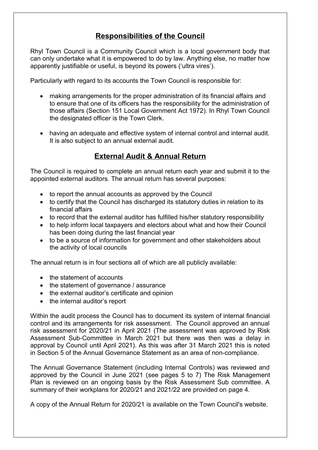## **Responsibilities of the Council**

Rhyl Town Council is a Community Council which is a local government body that can only undertake what it is empowered to do by law. Anything else, no matter how apparently justifiable or useful, is beyond its powers ('ultra vires').

Particularly with regard to its accounts the Town Council is responsible for:

- making arrangements for the proper administration of its financial affairs and to ensure that one of its officers has the responsibility for the administration of those affairs (Section 151 Local Government Act 1972). In Rhyl Town Council the designated officer is the Town Clerk.
- having an adequate and effective system of internal control and internal audit. It is also subject to an annual external audit.

## **External Audit & Annual Return**

The Council is required to complete an annual return each year and submit it to the appointed external auditors. The annual return has several purposes:

- to report the annual accounts as approved by the Council
- to certify that the Council has discharged its statutory duties in relation to its financial affairs
- to record that the external auditor has fulfilled his/her statutory responsibility
- to help inform local taxpayers and electors about what and how their Council has been doing during the last financial year
- to be a source of information for government and other stakeholders about the activity of local councils

The annual return is in four sections all of which are all publicly available:

- the statement of accounts
- the statement of governance / assurance
- the external auditor's certificate and opinion
- the internal auditor's report

Within the audit process the Council has to document its system of internal financial control and its arrangements for risk assessment. The Council approved an annual risk assessment for 2020/21 in April 2021 (The assessment was approved by Risk Assessment Sub-Committee in March 2021 but there was then was a delay in approval by Council until April 2021). As this was after 31 March 2021 this is noted in Section 5 of the Annual Governance Statement as an area of non-compliance.

The Annual Governance Statement (including Internal Controls) was reviewed and approved by the Council in June 2021 (see pages 5 to 7) The Risk Management Plan is reviewed on an ongoing basis by the Risk Assessment Sub committee. A summary of their workplans for 2020/21 and 2021/22 are provided on page 4.

A copy of the Annual Return for 2020/21 is available on the Town Council's website.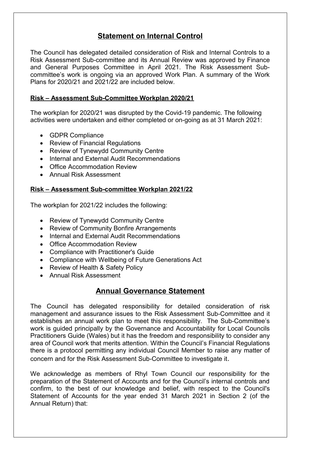## **Statement on Internal Control**

The Council has delegated detailed consideration of Risk and Internal Controls to a Risk Assessment Sub-committee and its Annual Review was approved by Finance and General Purposes Committee in April 2021. The Risk Assessment Subcommittee's work is ongoing via an approved Work Plan. A summary of the Work Plans for 2020/21 and 2021/22 are included below.

#### **Risk – Assessment Sub-Committee Workplan 2020/21**

The workplan for 2020/21 was disrupted by the Covid-19 pandemic. The following activities were undertaken and either completed or on-going as at 31 March 2021:

- GDPR Compliance
- Review of Financial Regulations
- Review of Tynewydd Community Centre
- Internal and External Audit Recommendations
- Office Accommodation Review
- Annual Risk Assessment

#### **Risk – Assessment Sub-committee Workplan 2021/22**

The workplan for 2021/22 includes the following:

- Review of Tynewydd Community Centre
- Review of Community Bonfire Arrangements
- Internal and External Audit Recommendations
- Office Accommodation Review
- Compliance with Practitioner's Guide
- Compliance with Wellbeing of Future Generations Act
- Review of Health & Safety Policy
- Annual Risk Assessment

### **Annual Governance Statement**

The Council has delegated responsibility for detailed consideration of risk management and assurance issues to the Risk Assessment Sub-Committee and it establishes an annual work plan to meet this responsibility. The Sub-Committee's work is guided principally by the Governance and Accountability for Local Councils Practitioners Guide (Wales) but it has the freedom and responsibility to consider any area of Council work that merits attention. Within the Council's Financial Regulations there is a protocol permitting any individual Council Member to raise any matter of concern and for the Risk Assessment Sub-Committee to investigate it.

We acknowledge as members of Rhyl Town Council our responsibility for the preparation of the Statement of Accounts and for the Council's internal controls and confirm, to the best of our knowledge and belief, with respect to the Council's Statement of Accounts for the year ended 31 March 2021 in Section 2 (of the Annual Return) that: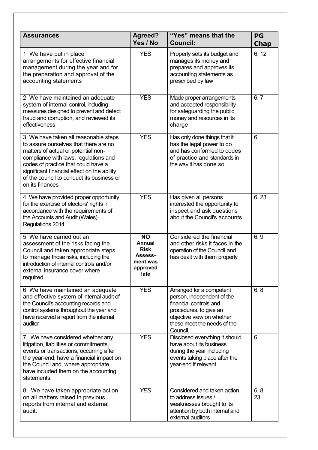|                                                                                                                                                                                                                                                                                                                      |                                                                               | "Yes" means that the                                                                                                                                                               |                   |
|----------------------------------------------------------------------------------------------------------------------------------------------------------------------------------------------------------------------------------------------------------------------------------------------------------------------|-------------------------------------------------------------------------------|------------------------------------------------------------------------------------------------------------------------------------------------------------------------------------|-------------------|
| <b>Assurances</b>                                                                                                                                                                                                                                                                                                    | <b>Agreed?</b><br>Yes / No                                                    | <b>Council:</b>                                                                                                                                                                    | PG<br><b>Chap</b> |
| 1. We have put in place<br>arrangements for effective financial<br>management during the year and for<br>the preparation and approval of the<br>accounting statements                                                                                                                                                | <b>YES</b>                                                                    | Properly sets its budget and<br>manages its money and<br>prepares and approves its<br>accounting statements as<br>prescribed by law                                                | 6, 12             |
| 2. We have maintained an adequate<br>system of internal control, including<br>measures designed to prevent and detect<br>fraud and corruption, and reviewed its<br>effectiveness                                                                                                                                     | <b>YES</b>                                                                    | Made proper arrangements<br>and accepted responsibility<br>for safeguarding the public<br>money and resources in its<br>charge                                                     | 6, 7              |
| 3. We have taken all reasonable steps<br>to assure ourselves that there are no<br>matters of actual or potential non-<br>compliance with laws, regulations and<br>codes of practice that could have a<br>significant financial effect on the ability<br>of the council to conduct its business or<br>on its finances | <b>YES</b>                                                                    | Has only done things that it<br>has the legal power to do<br>and has conformed to codes<br>of practice and standards in<br>the way it has done so                                  | 6                 |
| 4. We have provided proper opportunity<br>for the exercise of electors' rights in<br>accordance with the requirements of<br>the Accounts and Audit (Wales)<br>Regulations 2014                                                                                                                                       | <b>YES</b>                                                                    | Has given all persons<br>interested the opportunity to<br>inspect and ask questions<br>about the Council's accounts                                                                | 6, 23             |
| 5. We have carried out an<br>assessment of the risks facing the<br>Council and taken appropriate steps<br>to manage those risks, including the<br>introduction of internal controls and/or<br>external insurance cover where<br>required                                                                             | <b>NO</b><br>Annual<br><b>Risk</b><br>Assess-<br>ment was<br>approved<br>late | Considered the financial<br>and other risks it faces in the<br>operation of the Council and<br>has dealt with them properly                                                        | 6, 9              |
| 6. We have maintained an adequate<br>and effective system of internal audit of<br>the Council's accounting records and<br>control systems throughout the year and<br>have received a report from the internal<br>auditor                                                                                             | <b>YES</b>                                                                    | Arranged for a competent<br>person, independent of the<br>financial controls and<br>procedures, to give an<br>objective view on whether<br>these meet the needs of the<br>Council. | 6, 8              |
| 7. We have considered whether any<br>litigation, liabilities or commitments,<br>events or transactions, occurring after<br>the year-end, have a financial impact on<br>the Council and, where appropriate,<br>have included them on the accounting<br>statements.                                                    | <b>YES</b>                                                                    | Disclosed everything it should<br>have about its business<br>during the year including<br>events taking place after the<br>year-end if relevant.                                   | 6                 |
| 8. We have taken appropriate action<br>on all matters raised in previous<br>reports from internal and external<br>audit.                                                                                                                                                                                             | <b>YES</b>                                                                    | Considered and taken action<br>to address issues /<br>weaknesses brought to its<br>attention by both internal and<br>external auditors                                             | 6, 8,<br>23       |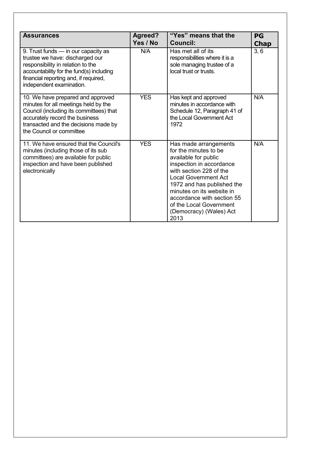| <b>Assurances</b>                                                                                                                                                                                                            | Agreed?<br>Yes / No | "Yes" means that the<br><b>Council:</b>                                                                                                                                                                                                                                                                             | PG<br><b>Chap</b> |
|------------------------------------------------------------------------------------------------------------------------------------------------------------------------------------------------------------------------------|---------------------|---------------------------------------------------------------------------------------------------------------------------------------------------------------------------------------------------------------------------------------------------------------------------------------------------------------------|-------------------|
| 9. Trust funds - in our capacity as<br>trustee we have: discharged our<br>responsibility in relation to the<br>accountability for the fund(s) including<br>financial reporting and, if required,<br>independent examination. | N/A                 | Has met all of its<br>responsibilities where it is a<br>sole managing trustee of a<br>local trust or trusts.                                                                                                                                                                                                        | 3, 6              |
| 10. We have prepared and approved<br>minutes for all meetings held by the<br>Council (including its committees) that<br>accurately record the business<br>transacted and the decisions made by<br>the Council or committee   | <b>YES</b>          | Has kept and approved<br>minutes in accordance with<br>Schedule 12, Paragraph 41 of<br>the Local Government Act<br>1972                                                                                                                                                                                             | N/A               |
| 11. We have ensured that the Council's<br>minutes (including those of its sub<br>committees) are available for public<br>inspection and have been published<br>electronically                                                | <b>YES</b>          | Has made arrangements<br>for the minutes to be<br>available for public<br>inspection in accordance<br>with section 228 of the<br><b>Local Government Act</b><br>1972 and has published the<br>minutes on its website in<br>accordance with section 55<br>of the Local Government<br>(Democracy) (Wales) Act<br>2013 | N/A               |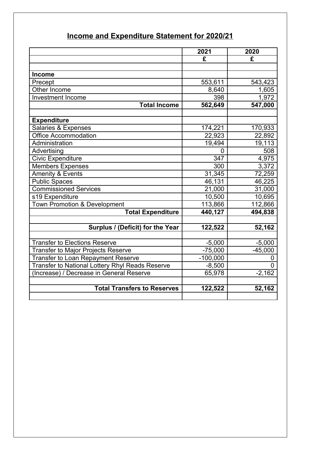|  |  | Income and Expenditure Statement for 2020/21 |
|--|--|----------------------------------------------|
|  |  |                                              |

|                                                 | 2021       | 2020           |
|-------------------------------------------------|------------|----------------|
|                                                 | £          | £              |
|                                                 |            |                |
| <b>Income</b>                                   |            |                |
| Precept                                         | 553,611    | 543,423        |
| Other Income                                    | 8,640      | 1,605          |
| <b>Investment Income</b>                        | 398        | 1,972          |
| <b>Total Income</b>                             | 562,649    | 547,000        |
|                                                 |            |                |
| <b>Expenditure</b>                              |            |                |
| Salaries & Expenses                             | 174,221    | 170,933        |
| Office Accommodation                            | 22,923     | 22,892         |
| Administration                                  | 19,494     | 19,113         |
| Advertising                                     | 0          | 508            |
| <b>Civic Expenditure</b>                        | 347        | 4,975          |
| <b>Members Expenses</b>                         | 300        | 3,372          |
| <b>Amenity &amp; Events</b>                     | 31,345     | 72,259         |
| <b>Public Spaces</b>                            | 46,131     | 46,225         |
| <b>Commissioned Services</b>                    | 21,000     | 31,000         |
| s19 Expenditure                                 | 10,500     | 10,695         |
| <b>Town Promotion &amp; Development</b>         | 113,866    | 112,866        |
| <b>Total Expenditure</b>                        | 440,127    | 494,838        |
|                                                 |            |                |
| Surplus / (Deficit) for the Year                | 122,522    | 52,162         |
|                                                 |            |                |
| <b>Transfer to Elections Reserve</b>            | $-5,000$   | $-5,000$       |
| <b>Transfer to Major Projects Reserve</b>       | $-75,000$  | $-45,000$      |
| <b>Transfer to Loan Repayment Reserve</b>       | $-100,000$ | 0              |
| Transfer to National Lottery Rhyl Reads Reserve | $-8,500$   | $\overline{0}$ |
| Increase) / Decrease in General Reserve         | 65,978     | $-2,162$       |
|                                                 |            |                |
| <b>Total Transfers to Reserves</b>              | 122,522    | 52,162         |
|                                                 |            |                |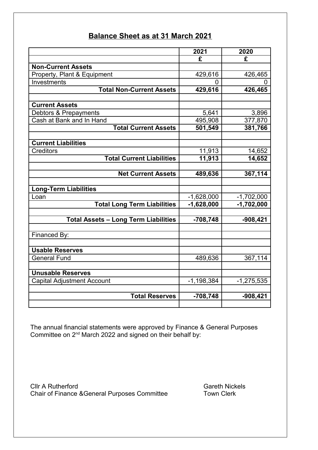## **Balance Sheet as at 31 March 2021**

|                                             | 2021         | 2020         |
|---------------------------------------------|--------------|--------------|
|                                             | £            | £            |
| <b>Non-Current Assets</b>                   |              |              |
| Property, Plant & Equipment                 | 429,616      | 426,465      |
| Investments                                 | 0            |              |
| <b>Total Non-Current Assets</b>             | 429,616      | 426,465      |
|                                             |              |              |
| <b>Current Assets</b>                       |              |              |
| Debtors & Prepayments                       | 5,641        | 3,896        |
| Cash at Bank and In Hand                    | 495,908      | 377,870      |
| <b>Total Current Assets</b>                 | 501,549      | 381,766      |
|                                             |              |              |
| <b>Current Liabilities</b>                  |              |              |
| <b>Creditors</b>                            | 11,913       | 14,652       |
| <b>Total Current Liabilities</b>            | 11,913       | 14,652       |
|                                             |              |              |
| <b>Net Current Assets</b>                   | 489,636      | 367,114      |
|                                             |              |              |
| <b>Long-Term Liabilities</b>                |              |              |
| Loan                                        | $-1,628,000$ | $-1,702,000$ |
| <b>Total Long Term Liabilities</b>          | $-1,628,000$ | $-1,702,000$ |
|                                             |              |              |
| <b>Total Assets - Long Term Liabilities</b> | $-708,748$   | $-908,421$   |
|                                             |              |              |
| Financed By:                                |              |              |
|                                             |              |              |
| <b>Usable Reserves</b>                      |              |              |
| <b>General Fund</b>                         | 489,636      | 367,114      |
|                                             |              |              |
| <b>Unusable Reserves</b>                    |              |              |
| <b>Capital Adjustment Account</b>           | $-1,198,384$ | $-1,275,535$ |
|                                             |              |              |
| <b>Total Reserves</b>                       | $-708,748$   | $-908,421$   |
|                                             |              |              |

The annual financial statements were approved by Finance & General Purposes Committee on  $2<sup>nd</sup>$  March 2022 and signed on their behalf by:

**Clir A Rutherford Clir A Rutherford** Clir A Rutherford Clir A Rutherford Clir A Rutherford Clir A Rutherford C Chair of Finance &General Purposes Committee Town Clerk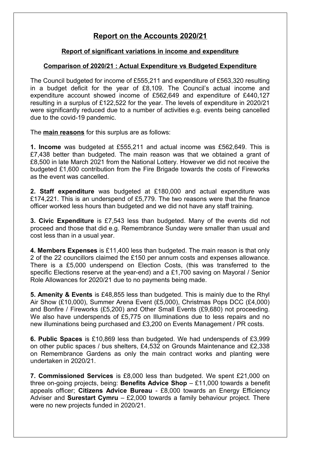## **Report on the Accounts 2020/21**

#### **Report of significant variations in income and expenditure**

#### **Comparison of 2020/21 : Actual Expenditure vs Budgeted Expenditure**

The Council budgeted for income of £555,211 and expenditure of £563,320 resulting in a budget deficit for the year of £8,109. The Council's actual income and expenditure account showed income of £562,649 and expenditure of £440,127 resulting in a surplus of £122,522 for the year. The levels of expenditure in 2020/21 were significantly reduced due to a number of activities e.g. events being cancelled due to the covid-19 pandemic.

The **main reasons** for this surplus are as follows:

**1. Income** was budgeted at £555,211 and actual income was £562,649. This is £7,438 better than budgeted. The main reason was that we obtained a grant of £8,500 in late March 2021 from the National Lottery. However we did not receive the budgeted £1,600 contribution from the Fire Brigade towards the costs of Fireworks as the event was cancelled.

**2. Staff expenditure** was budgeted at £180,000 and actual expenditure was £174,221. This is an underspend of £5,779. The two reasons were that the finance officer worked less hours than budgeted and we did not have any staff training.

**3. Civic Expenditure** is £7,543 less than budgeted. Many of the events did not proceed and those that did e.g. Remembrance Sunday were smaller than usual and cost less than in a usual year.

**4. Members Expenses** is £11,400 less than budgeted. The main reason is that only 2 of the 22 councillors claimed the £150 per annum costs and expenses allowance. There is a £5,000 underspend on Election Costs, (this was transferred to the specific Elections reserve at the year-end) and a £1,700 saving on Mayoral / Senior Role Allowances for 2020/21 due to no payments being made.

**5. Amenity & Events** is £48,855 less than budgeted. This is mainly due to the Rhyl Air Show (£10,000), Summer Arena Event (£5,000), Christmas Pops DCC (£4,000) and Bonfire / Fireworks (£5,200) and Other Small Events (£9,680) not proceeding. We also have underspends of £5,775 on Illuminations due to less repairs and no new illuminations being purchased and £3,200 on Events Management / PR costs.

**6. Public Spaces** is £10,869 less than budgeted. We had underspends of £3,999 on other public spaces / bus shelters, £4,532 on Grounds Maintenance and £2,338 on Remembrance Gardens as only the main contract works and planting were undertaken in 2020/21.

**7. Commissioned Services** is £8,000 less than budgeted. We spent £21,000 on three on-going projects, being: **Benefits Advice Shop** – £11,000 towards a benefit appeals officer; **Citizens Advice Bureau** - £8,000 towards an Energy Efficiency Adviser and **Surestart Cymru** – £2,000 towards a family behaviour project. There were no new projects funded in 2020/21.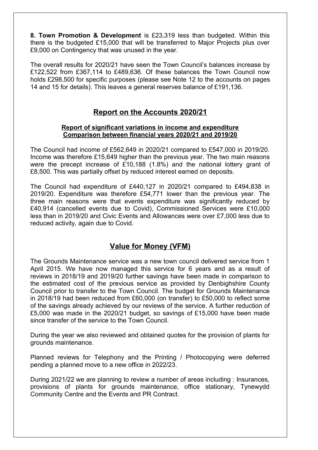**8. Town Promotion & Development** is £23,319 less than budgeted. Within this there is the budgeted £15,000 that will be transferred to Major Projects plus over £9,000 on Contingency that was unused in the year.

The overall results for 2020/21 have seen the Town Council's balances increase by £122,522 from £367,114 to £489,636. Of these balances the Town Council now holds £298,500 for specific purposes (please see Note 12 to the accounts on pages 14 and 15 for details). This leaves a general reserves balance of £191,136.

### **Report on the Accounts 2020/21**

#### **Report of significant variations in income and expenditure Comparison between financial years 2020/21 and 2019/20**

The Council had income of £562,649 in 2020/21 compared to £547,000 in 2019/20. Income was therefore £15,649 higher than the previous year. The two main reasons were the precept increase of £10,188 (1.8%) and the national lottery grant of £8,500. This was partially offset by reduced interest earned on deposits.

The Council had expenditure of £440,127 in 2020/21 compared to £494,838 in 2019/20. Expenditure was therefore £54,771 lower than the previous year. The three main reasons were that events expenditure was significantly reduced by £40,914 (cancelled events due to Covid), Commissioned Services were £10,000 less than in 2019/20 and Civic Events and Allowances were over £7,000 less due to reduced activity, again due to Covid.

### **Value for Money (VFM)**

The Grounds Maintenance service was a new town council delivered service from 1 April 2015. We have now managed this service for 6 years and as a result of reviews in 2018/19 and 2019/20 further savings have been made in comparison to the estimated cost of the previous service as provided by Denbighshire County Council prior to transfer to the Town Council. The budget for Grounds Maintenance in 2018/19 had been reduced from £60,000 (on transfer) to £50,000 to reflect some of the savings already achieved by our reviews of the service. A further reduction of £5,000 was made in the 2020/21 budget, so savings of £15,000 have been made since transfer of the service to the Town Council.

During the year we also reviewed and obtained quotes for the provision of plants for grounds maintenance.

Planned reviews for Telephony and the Printing / Photocopying were deferred pending a planned move to a new office in 2022/23.

During 2021/22 we are planning to review a number of areas including : Insurances, provisions of plants for grounds maintenance, office stationary, Tynewydd Community Centre and the Events and PR Contract.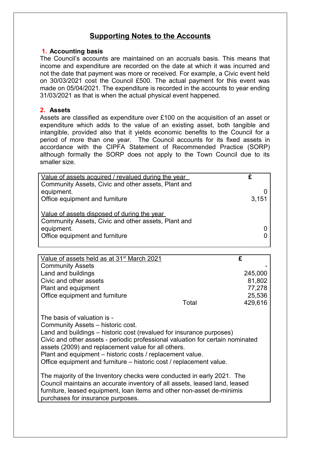### **Supporting Notes to the Accounts**

#### **1. Accounting basis**

The Council's accounts are maintained on an accruals basis. This means that income and expenditure are recorded on the date at which it was incurred and not the date that payment was more or received. For example, a Civic event held on 30/03/2021 cost the Council £500. The actual payment for this event was made on 05/04/2021. The expenditure is recorded in the accounts to year ending 31/03/2021 as that is when the actual physical event happened.

#### **2. Assets**

Assets are classified as expenditure over £100 on the acquisition of an asset or expenditure which adds to the value of an existing asset, both tangible and intangible, provided also that it yields economic benefits to the Council for a period of more than one year. The Council accounts for its fixed assets in accordance with the CIPFA Statement of Recommended Practice (SORP) although formally the SORP does not apply to the Town Council due to its smaller size.

| Value of assets acquired / revalued during the year |       |
|-----------------------------------------------------|-------|
| Community Assets, Civic and other assets, Plant and |       |
|                                                     |       |
| equipment.                                          |       |
| Office equipment and furniture                      | 3,151 |
|                                                     |       |
| Value of assets disposed of during the year         |       |
| Community Assets, Civic and other assets, Plant and |       |
| equipment.                                          |       |
| Office equipment and furniture                      |       |
|                                                     |       |

| Value of assets held as at 31 <sup>st</sup> March 2021 |       |         |
|--------------------------------------------------------|-------|---------|
| <b>Community Assets</b>                                |       |         |
| Land and buildings                                     |       | 245,000 |
| Civic and other assets                                 |       | 81,802  |
| Plant and equipment                                    |       | 77,278  |
| Office equipment and furniture                         |       | 25,536  |
|                                                        | Total | 429,616 |
|                                                        |       |         |

The basis of valuation is - Community Assets – historic cost. Land and buildings – historic cost (revalued for insurance purposes) Civic and other assets - periodic professional valuation for certain nominated assets (2009) and replacement value for all others. Plant and equipment – historic costs / replacement value. Office equipment and furniture – historic cost / replacement value.

The majority of the Inventory checks were conducted in early 2021. The Council maintains an accurate inventory of all assets, leased land, leased furniture, leased equipment, loan items and other non-asset de-minimis purchases for insurance purposes.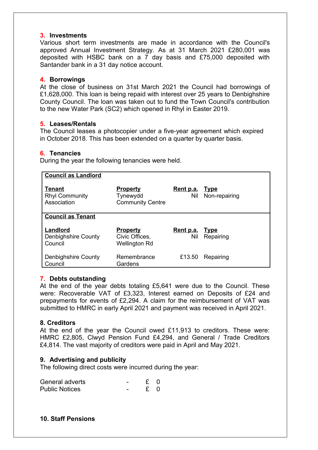#### **3. Investments**

Various short term investments are made in accordance with the Council's approved Annual Investment Strategy. As at 31 March 2021 £280,001 was deposited with HSBC bank on a 7 day basis and £75,000 deposited with Santander bank in a 31 day notice account.

#### **4. Borrowings**

At the close of business on 31st March 2021 the Council had borrowings of £1,628,000. This loan is being repaid with interest over 25 years to Denbighshire County Council. The loan was taken out to fund the Town Council's contribution to the new Water Park (SC2) which opened in Rhyl in Easter 2019.

#### **5. Leases/Rentals**

The Council leases a photocopier under a five-year agreement which expired in October 2018. This has been extended on a quarter by quarter basis.

#### **6. Tenancies**

During the year the following tenancies were held.

| <b>Council as Landlord</b>                     |                                                           |                              |                              |
|------------------------------------------------|-----------------------------------------------------------|------------------------------|------------------------------|
| Tenant<br><b>Rhyl Community</b><br>Association | <b>Property</b><br>Tynewydd<br><b>Community Centre</b>    | Rent p.a.<br>Nil             | <u>Type</u><br>Non-repairing |
| <b>Council as Tenant</b>                       |                                                           |                              |                              |
| Landlord<br>Denbighshire County<br>Council     | <u>Property</u><br>Civic Offices,<br><b>Wellington Rd</b> | <u>Rent p.a. Type</u><br>Nil | Repairing                    |
| Denbighshire County<br>Council                 | Remembrance<br>Gardens                                    | £13.50                       | Repairing                    |

#### **7. Debts outstanding**

At the end of the year debts totaling £5,641 were due to the Council. These were: Recoverable VAT of £3,323, Interest earned on Deposits of £24 and prepayments for events of £2,294. A claim for the reimbursement of VAT was submitted to HMRC in early April 2021 and payment was received in April 2021.

#### **8. Creditors**

At the end of the year the Council owed £11,913 to creditors. These were: HMRC £2,805, Clwyd Pension Fund £4,294, and General / Trade Creditors £4,814. The vast majority of creditors were paid in April and May 2021.

#### **9. Advertising and publicity**

The following direct costs were incurred during the year:

| General adverts       |  |  |
|-----------------------|--|--|
| <b>Public Notices</b> |  |  |

**10. Staff Pensions**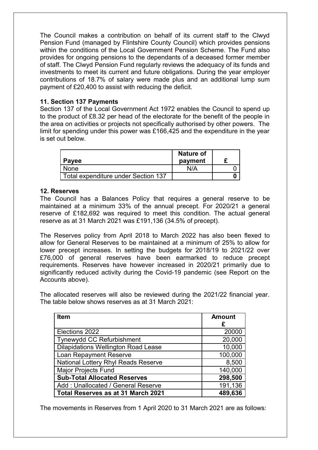The Council makes a contribution on behalf of its current staff to the Clwyd Pension Fund (managed by Flintshire County Council) which provides pensions within the conditions of the Local Government Pension Scheme. The Fund also provides for ongoing pensions to the dependants of a deceased former member of staff. The Clwyd Pension Fund regularly reviews the adequacy of its funds and investments to meet its current and future obligations. During the year employer contributions of 18.7% of salary were made plus and an additional lump sum payment of £20,400 to assist with reducing the deficit.

#### **11. Section 137 Payments**

Section 137 of the Local Government Act 1972 enables the Council to spend up to the product of £8.32 per head of the electorate for the benefit of the people in the area on activities or projects not specifically authorised by other powers. The limit for spending under this power was £166,425 and the expenditure in the year is set out below.

| Payee                               | <b>Nature of</b><br>payment |  |
|-------------------------------------|-----------------------------|--|
| None                                | N/A                         |  |
| Total expenditure under Section 137 |                             |  |

#### **12. Reserves**

The Council has a Balances Policy that requires a general reserve to be maintained at a minimum 33% of the annual precept. For 2020/21 a general reserve of £182,692 was required to meet this condition. The actual general reserve as at 31 March 2021 was £191,136 (34.5% of precept).

The Reserves policy from April 2018 to March 2022 has also been flexed to allow for General Reserves to be maintained at a minimum of 25% to allow for lower precept increases. In setting the budgets for 2018/19 to 2021/22 over £76,000 of general reserves have been earmarked to reduce precept requirements. Reserves have however increased in 2020/21 primarily due to significantly reduced activity during the Covid-19 pandemic (see Report on the Accounts above).

The allocated reserves will also be reviewed during the 2021/22 financial year. The table below shows reserves as at 31 March 2021:

| <b>Item</b>                                | <b>Amount</b> |
|--------------------------------------------|---------------|
|                                            | £             |
| Elections 2022                             | 20000         |
| <b>Tynewydd CC Refurbishment</b>           | 20,000        |
| <b>Dilapidations Wellington Road Lease</b> | 10,000        |
| <b>Loan Repayment Reserve</b>              | 100,000       |
| <b>National Lottery Rhyl Reads Reserve</b> | 8,500         |
| <b>Major Projects Fund</b>                 | 140,000       |
| <b>Sub-Total Allocated Reserves</b>        | 298,500       |
| Add: Unallocated / General Reserve         | 191,136       |
| Total Reserves as at 31 March 2021         | 489,636       |

The movements in Reserves from 1 April 2020 to 31 March 2021 are as follows: